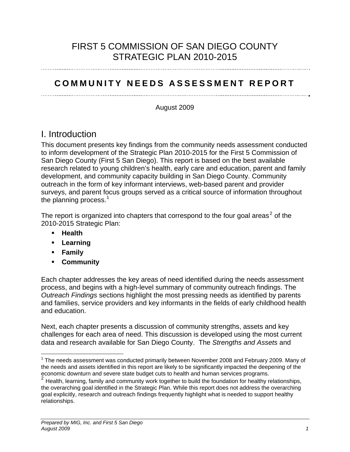# FIRST 5 COMMISSION OF SAN DIEGO COUNTY STRATEGIC PLAN 2010-2015

## **COMMUNITY NEEDS ASSESSMENT REPORT**

August 2009

# I. Introduction

This document presents key findings from the community needs assessment conducted to inform development of the Strategic Plan 2010-2015 for the First 5 Commission of San Diego County (First 5 San Diego). This report is based on the best available research related to young children's health, early care and education, parent and family development, and community capacity building in San Diego County. Community outreach in the form of key informant interviews, web-based parent and provider surveys, and parent focus groups served as a critical source of information throughout the planning process. $<sup>1</sup>$  $<sup>1</sup>$  $<sup>1</sup>$ </sup>

The report is organized into chapters that correspond to the four goal areas<sup>2</sup> of the [2010-2015 Strategic Plan:](#page-0-1) 

- **Health**
- **Learning**
- **Family**

1

**Community** 

Each chapter addresses the key areas of need identified during the needs assessment process, and begins with a high-level summary of community outreach findings. The *Outreach Findings* sections highlight the most pressing needs as identified by parents and families, service providers and key informants in the fields of early childhood health and education.

Next, each chapter presents a discussion of community strengths, assets and key challenges for each area of need. This discussion is developed using the most current data and research available for San Diego County. The *Strengths and Assets* and

<span id="page-0-0"></span> $1$  The needs assessment was conducted primarily between November 2008 and February 2009. Many of the needs and assets identified in this report are likely to be significantly impacted the deepening of the economic downturn and severe state budget cuts to health and human services programs.

<span id="page-0-1"></span> $2$  Health, learning, family and community work together to build the foundation for healthy relationships, the overarching goal identified in the Strategic Plan. While this report does not address the overarching goal explicitly, research and outreach findings frequently highlight what is needed to support healthy relationships.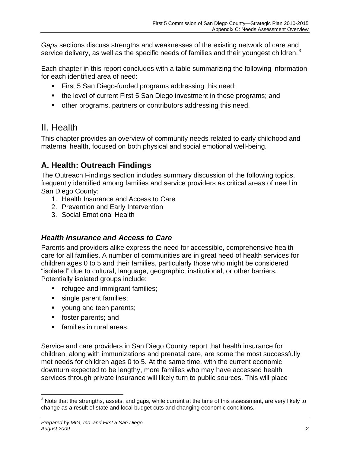*Gaps* sections discuss strengths and weaknesses of the existing network of care and servicedelivery, as well as the specific needs of families and their youngest children.<sup>3</sup>

Each chapter in this report concludes with a table summarizing the following information for each identified area of need:

- **First 5 San Diego-funded programs addressing this need;**
- the level of current First 5 San Diego investment in these programs; and
- other programs, partners or contributors addressing this need.

# II. Health

This chapter provides an overview of community needs related to early childhood and maternal health, focused on both physical and social emotional well-being.

# **A. Health: Outreach Findings**

The Outreach Findings section includes summary discussion of the following topics, frequently identified among families and service providers as critical areas of need in San Diego County:

- 1. Health Insurance and Access to Care
- 2. Prevention and Early Intervention
- 3. Social Emotional Health

## *Health Insurance and Access to Care*

Parents and providers alike express the need for accessible, comprehensive health care for all families. A number of communities are in great need of health services for children ages 0 to 5 and their families, particularly those who might be considered "isolated" due to cultural, language, geographic, institutional, or other barriers. Potentially isolated groups include:

- **Fig. 3** refugee and immigrant families;
- single parent families;
- voung and teen parents;
- **foster parents; and**
- **families in rural areas.**

Service and care providers in San Diego County report that health insurance for children, along with immunizations and prenatal care, are some the most successfully met needs for children ages 0 to 5. At the same time, with the current economic downturn expected to be lengthy, more families who may have accessed health services through private insurance will likely turn to public sources. This will place

<span id="page-1-0"></span> 3 Note that the strengths, assets, and gaps, while current at the time of this assessment, are very likely to change as a result of state and local budget cuts and changing economic conditions.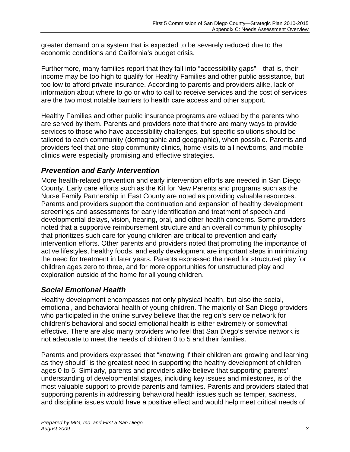greater demand on a system that is expected to be severely reduced due to the economic conditions and California's budget crisis.

Furthermore, many families report that they fall into "accessibility gaps"—that is, their income may be too high to qualify for Healthy Families and other public assistance, but too low to afford private insurance. According to parents and providers alike, lack of information about where to go or who to call to receive services and the cost of services are the two most notable barriers to health care access and other support.

Healthy Families and other public insurance programs are valued by the parents who are served by them. Parents and providers note that there are many ways to provide services to those who have accessibility challenges, but specific solutions should be tailored to each community (demographic and geographic), when possible. Parents and providers feel that one-stop community clinics, home visits to all newborns, and mobile clinics were especially promising and effective strategies.

### *Prevention and Early Intervention*

More health-related prevention and early intervention efforts are needed in San Diego County. Early care efforts such as the Kit for New Parents and programs such as the Nurse Family Partnership in East County are noted as providing valuable resources. Parents and providers support the continuation and expansion of healthy development screenings and assessments for early identification and treatment of speech and developmental delays, vision, hearing, oral, and other health concerns. Some providers noted that a supportive reimbursement structure and an overall community philosophy that prioritizes such care for young children are critical to prevention and early intervention efforts. Other parents and providers noted that promoting the importance of active lifestyles, healthy foods, and early development are important steps in minimizing the need for treatment in later years. Parents expressed the need for structured play for children ages zero to three, and for more opportunities for unstructured play and exploration outside of the home for all young children.

## *Social Emotional Health*

Healthy development encompasses not only physical health, but also the social, emotional, and behavioral health of young children. The majority of San Diego providers who participated in the online survey believe that the region's service network for children's behavioral and social emotional health is either extremely or somewhat effective. There are also many providers who feel that San Diego's service network is not adequate to meet the needs of children 0 to 5 and their families.

Parents and providers expressed that "knowing if their children are growing and learning as they should" is the greatest need in supporting the healthy development of children ages 0 to 5. Similarly, parents and providers alike believe that supporting parents' understanding of developmental stages, including key issues and milestones, is of the most valuable support to provide parents and families. Parents and providers stated that supporting parents in addressing behavioral health issues such as temper, sadness, and discipline issues would have a positive effect and would help meet critical needs of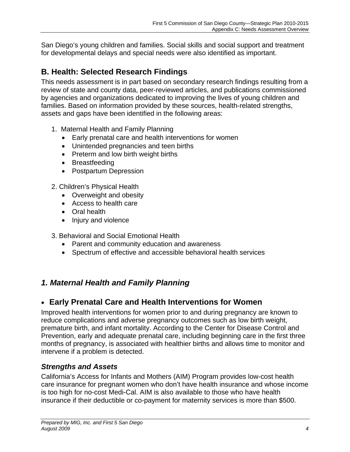San Diego's young children and families. Social skills and social support and treatment for developmental delays and special needs were also identified as important.

# **B. Health: Selected Research Findings**

This needs assessment is in part based on secondary research findings resulting from a review of state and county data, peer-reviewed articles, and publications commissioned by agencies and organizations dedicated to improving the lives of young children and families. Based on information provided by these sources, health-related strengths, assets and gaps have been identified in the following areas:

- 1. Maternal Health and Family Planning
	- Early prenatal care and health interventions for women
	- Unintended pregnancies and teen births
	- Preterm and low birth weight births
	- Breastfeeding
	- Postpartum Depression
- 2. Children's Physical Health
	- Overweight and obesity
	- Access to health care
	- Oral health
	- Injury and violence
- 3. Behavioral and Social Emotional Health
	- Parent and community education and awareness
	- Spectrum of effective and accessible behavioral health services

## *1. Maternal Health and Family Planning*

## **Early Prenatal Care and Health Interventions for Women**

Improved health interventions for women prior to and during pregnancy are known to reduce complications and adverse pregnancy outcomes such as low birth weight, premature birth, and infant mortality. According to the Center for Disease Control and Prevention, early and adequate prenatal care, including beginning care in the first three months of pregnancy, is associated with healthier births and allows time to monitor and intervene if a problem is detected.

## *Strengths and Assets*

California's Access for Infants and Mothers (AIM) Program provides low-cost health care insurance for pregnant women who don't have health insurance and whose income is too high for no-cost Medi-Cal. AIM is also available to those who have health insurance if their deductible or co-payment for maternity services is more than \$500.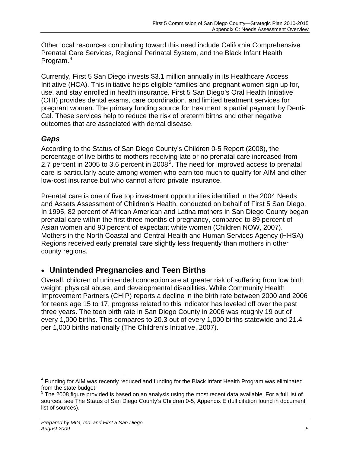Other local resources contributing toward this need include California Comprehensive Prenatal Care Services, Regional Perinatal System, and the Black Infant Health Program.<sup>[4](#page-4-0)</sup>

Currently, First 5 San Diego invests \$3.1 million annually in its Healthcare Access Initiative (HCA). This initiative helps eligible families and pregnant women sign up for, use, and stay enrolled in health insurance. First 5 San Diego's Oral Health Initiative (OHI) provides dental exams, care coordination, and limited treatment services for pregnant women. The primary funding source for treatment is partial payment by Denti-Cal. These services help to reduce the risk of preterm births and other negative outcomes that are associated with dental disease.

## *Gaps*

According to the Status of San Diego County's Children 0-5 Report (2008), the percentage of live births to mothers receiving late or no prenatal care increased from 2.7 percent in 2005 to 3.6 percent in 2008<sup>5</sup>. The need for improved access to prenatal [care is particularly acute among women who earn too much to qualify for AIM and other](#page-4-1)  [low-cost insurance but who cannot afford private insurance.](#page-4-1) 

Prenatal care is one of five top investment opportunities identified in the 2004 Needs and Assets Assessment of Children's Health, conducted on behalf of First 5 San Diego. In 1995, 82 percent of African American and Latina mothers in San Diego County began prenatal care within the first three months of pregnancy, compared to 89 percent of Asian women and 90 percent of expectant white women (Children NOW, 2007). Mothers in the North Coastal and Central Health and Human Services Agency (HHSA) Regions received early prenatal care slightly less frequently than mothers in other county regions.

## **Unintended Pregnancies and Teen Births**

Overall, children of unintended conception are at greater risk of suffering from low birth weight, physical abuse, and developmental disabilities. While Community Health Improvement Partners (CHIP) reports a decline in the birth rate between 2000 and 2006 for teens age 15 to 17, progress related to this indicator has leveled off over the past three years. The teen birth rate in San Diego County in 2006 was roughly 19 out of every 1,000 births. This compares to 20.3 out of every 1,000 births statewide and 21.4 per 1,000 births nationally (The Children's Initiative, 2007).

<span id="page-4-0"></span> $\overline{a}$ <sup>4</sup> Funding for AIM was recently reduced and funding for the Black Infant Health Program was eliminated from the state budget.

<span id="page-4-1"></span> $5$  The 2008 figure provided is based on an analysis using the most recent data available. For a full list of sources, see The Status of San Diego County's Children 0-5, Appendix E (full citation found in document list of sources).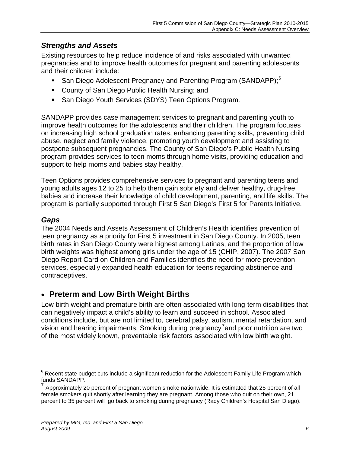#### *Strengths and Assets*

Existing resources to help reduce incidence of and risks associated with unwanted pregnancies and to improve health outcomes for pregnant and parenting adolescents and their children include:

- San Diego Adolescent Pregnancy and Parenting Program (SANDAPP);<sup>[6](#page-5-0)</sup>
- **County of San Diego Public Health Nursing; and**
- **San Diego Youth Services (SDYS) Teen Options Program.**

SANDAPP provides case management services to pregnant and parenting youth to improve health outcomes for the adolescents and their children. The program focuses on increasing high school graduation rates, enhancing parenting skills, preventing child abuse, neglect and family violence, promoting youth development and assisting to postpone subsequent pregnancies. The County of San Diego's Public Health Nursing program provides services to teen moms through home visits, providing education and support to help moms and babies stay healthy.

Teen Options provides comprehensive services to pregnant and parenting teens and young adults ages 12 to 25 to help them gain sobriety and deliver healthy, drug-free babies and increase their knowledge of child development, parenting, and life skills. The program is partially supported through First 5 San Diego's First 5 for Parents Initiative.

#### *Gaps*

The 2004 Needs and Assets Assessment of Children's Health identifies prevention of teen pregnancy as a priority for First 5 investment in San Diego County. In 2005, teen birth rates in San Diego County were highest among Latinas, and the proportion of low birth weights was highest among girls under the age of 15 (CHIP, 2007). The 2007 San Diego Report Card on Children and Families identifies the need for more prevention services, especially expanded health education for teens regarding abstinence and contraceptives.

#### **Preterm and Low Birth Weight Births**

Low birth weight and premature birth are often associated with long-term disabilities that can negatively impact a child's ability to learn and succeed in school. Associated conditions include, but are not limited to, cerebral palsy, autism, mental retardation, and vision and hearing impairments. Smoking during pregnancy<sup>7</sup> and poor nutrition are two [of the most widely known, preventable risk factors associated with low birth weight.](#page-5-1) 

<span id="page-5-0"></span> $\overline{a}$  $^6$  Recent state budget cuts include a significant reduction for the Adolescent Family Life Program which funds SANDAPP.

<span id="page-5-1"></span> $<sup>7</sup>$  Approximately 20 percent of pregnant women smoke nationwide. It is estimated that 25 percent of all</sup> female smokers quit shortly after learning they are pregnant. Among those who quit on their own, 21 percent to 35 percent will go back to smoking during pregnancy (Rady Children's Hospital San Diego).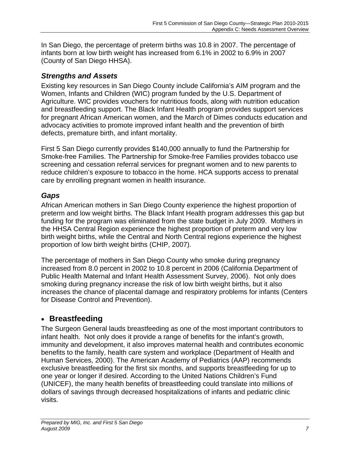In San Diego, the percentage of preterm births was 10.8 in 2007. The percentage of infants born at low birth weight has increased from 6.1% in 2002 to 6.9% in 2007 (County of San Diego HHSA).

#### *Strengths and Assets*

Existing key resources in San Diego County include California's AIM program and the Women, Infants and Children (WIC) program funded by the U.S. Department of Agriculture. WIC provides vouchers for nutritious foods, along with nutrition education and breastfeeding support. The Black Infant Health program provides support services for pregnant African American women, and the March of Dimes conducts education and advocacy activities to promote improved infant health and the prevention of birth defects, premature birth, and infant mortality.

First 5 San Diego currently provides \$140,000 annually to fund the Partnership for Smoke-free Families. The Partnership for Smoke-free Families provides tobacco use screening and cessation referral services for pregnant women and to new parents to reduce children's exposure to tobacco in the home. HCA supports access to prenatal care by enrolling pregnant women in health insurance.

#### *Gaps*

African American mothers in San Diego County experience the highest proportion of preterm and low weight births. The Black Infant Health program addresses this gap but funding for the program was eliminated from the state budget in July 2009. Mothers in the HHSA Central Region experience the highest proportion of preterm and very low birth weight births, while the Central and North Central regions experience the highest proportion of low birth weight births (CHIP, 2007).

The percentage of mothers in San Diego County who smoke during pregnancy increased from 8.0 percent in 2002 to 10.8 percent in 2006 (California Department of Public Health Maternal and Infant Health Assessment Survey, 2006). Not only does smoking during pregnancy increase the risk of low birth weight births, but it also increases the chance of placental damage and respiratory problems for infants (Centers for Disease Control and Prevention).

#### **Breastfeeding**

The Surgeon General lauds breastfeeding as one of the most important contributors to infant health. Not only does it provide a range of benefits for the infant's growth, immunity and development, it also improves maternal health and contributes economic benefits to the family, health care system and workplace (Department of Health and Human Services, 2000). The American Academy of Pediatrics (AAP) recommends exclusive breastfeeding for the first six months, and supports breastfeeding for up to one year or longer if desired. According to the United Nations Children's Fund (UNICEF), the many health benefits of breastfeeding could translate into millions of dollars of savings through decreased hospitalizations of infants and pediatric clinic visits.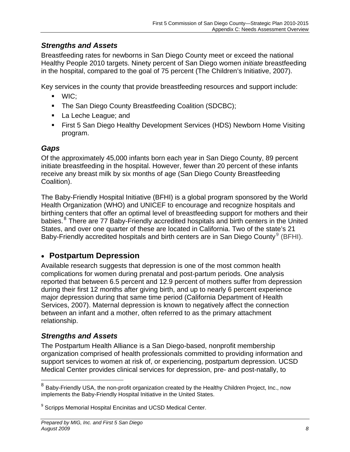#### *Strengths and Assets*

Breastfeeding rates for newborns in San Diego County meet or exceed the national Healthy People 2010 targets. Ninety percent of San Diego women *initiate* breastfeeding in the hospital, compared to the goal of 75 percent (The Children's Initiative, 2007).

Key services in the county that provide breastfeeding resources and support include:

- WIC;
- **The San Diego County Breastfeeding Coalition (SDCBC);**
- La Leche League; and
- First 5 San Diego Healthy Development Services (HDS) Newborn Home Visiting program.

### *Gaps*

Of the approximately 45,000 infants born each year in San Diego County, 89 percent initiate breastfeeding in the hospital. However, fewer than 20 percent of these infants receive any breast milk by six months of age (San Diego County Breastfeeding Coalition).

The Baby-Friendly Hospital Initiative (BFHI) is a global program sponsored by the World Health Organization (WHO) and UNICEF to encourage and recognize hospitals and birthing centers that offer an optimal level of breastfeeding support for mothers and their babies.<sup>8</sup> There are 77 Baby-Friendly accredited hospitals and birth centers in the United [States, and over one quarter of these are located in California. Two of the state's 21](#page-7-0)  [Baby-Friendly accredited hospitals and birth centers are in San Diego County](#page-7-0)<sup>9</sup> (BFHI).

## **Postpartum Depression**

Available research suggests that depression is one of the most common health complications for women during prenatal and post-partum periods. One analysis reported that between 6.5 percent and 12.9 percent of mothers suffer from depression during their first 12 months after giving birth, and up to nearly 6 percent experience major depression during that same time period (California Department of Health Services, 2007). Maternal depression is known to negatively affect the connection between an infant and a mother, often referred to as the primary attachment relationship.

#### *Strengths and Assets*

 $\overline{a}$ 

The Postpartum Health Alliance is a San Diego-based, nonprofit membership organization comprised of health professionals committed to providing information and support services to women at risk of, or experiencing, postpartum depression. UCSD Medical Center provides clinical services for depression, pre- and post-natally, to

 $^8$  Baby-Friendly USA, the non-profit organization created by the Healthy Children Project, Inc., now implements the Baby-Friendly Hospital Initiative in the United States.

<span id="page-7-0"></span><sup>&</sup>lt;sup>9</sup> Scripps Memorial Hospital Encinitas and UCSD Medical Center.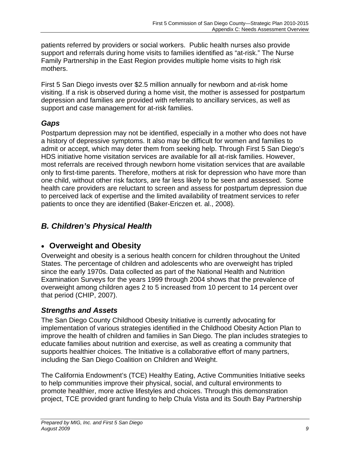patients referred by providers or social workers. Public health nurses also provide support and referrals during home visits to families identified as "at-risk." The Nurse Family Partnership in the East Region provides multiple home visits to high risk mothers.

First 5 San Diego invests over \$2.5 million annually for newborn and at-risk home visiting. If a risk is observed during a home visit, the mother is assessed for postpartum depression and families are provided with referrals to ancillary services, as well as support and case management for at-risk families.

## *Gaps*

Postpartum depression may not be identified, especially in a mother who does not have a history of depressive symptoms. It also may be difficult for women and families to admit or accept, which may deter them from seeking help. Through First 5 San Diego's HDS initiative home visitation services are available for all at-risk families. However, most referrals are received through newborn home visitation services that are available only to first-time parents. Therefore, mothers at risk for depression who have more than one child, without other risk factors, are far less likely to be seen and assessed. Some health care providers are reluctant to screen and assess for postpartum depression due to perceived lack of expertise and the limited availability of treatment services to refer patients to once they are identified (Baker-Ericzen et. al., 2008).

# *B. Children's Physical Health*

## **Overweight and Obesity**

Overweight and obesity is a serious health concern for children throughout the United States. The percentage of children and adolescents who are overweight has tripled since the early 1970s. Data collected as part of the National Health and Nutrition Examination Surveys for the years 1999 through 2004 shows that the prevalence of overweight among children ages 2 to 5 increased from 10 percent to 14 percent over that period (CHIP, 2007).

## *Strengths and Assets*

The San Diego County Childhood Obesity Initiative is currently advocating for implementation of various strategies identified in the Childhood Obesity Action Plan to improve the health of children and families in San Diego. The plan includes strategies to educate families about nutrition and exercise, as well as creating a community that supports healthier choices. The Initiative is a collaborative effort of many partners, including the San Diego Coalition on Children and Weight.

The California Endowment's (TCE) Healthy Eating, Active Communities Initiative seeks to help communities improve their physical, social, and cultural environments to promote healthier, more active lifestyles and choices. Through this demonstration project, TCE provided grant funding to help Chula Vista and its South Bay Partnership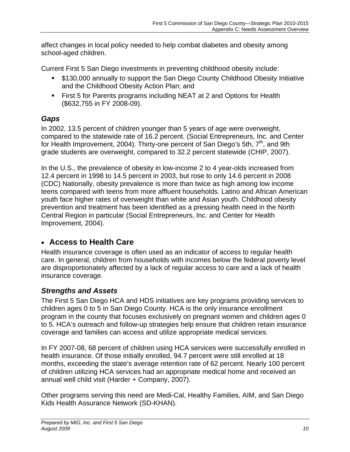affect changes in local policy needed to help combat diabetes and obesity among school-aged children.

Current First 5 San Diego investments in preventing childhood obesity include:

- \$130,000 annually to support the San Diego County Childhood Obesity Initiative and the Childhood Obesity Action Plan; and
- **First 5 for Parents programs including NEAT at 2 and Options for Health** (\$632,755 in FY 2008-09).

## *Gaps*

In 2002, 13.5 percent of children younger than 5 years of age were overweight, compared to the statewide rate of 16.2 percent. (Social Entrepreneurs, Inc. and Center for Health Improvement, 2004). Thirty-one percent of San Diego's 5th,  $7<sup>th</sup>$ , and 9th grade students are overweight, compared to 32.2 percent statewide (CHIP, 2007).

In the U.S., the prevalence of obesity in low-income 2 to 4 year-olds increased from 12.4 percent in 1998 to 14.5 percent in 2003, but rose to only 14.6 percent in 2008 (CDC) Nationally, obesity prevalence is more than twice as high among low income teens compared with teens from more affluent households. Latino and African American youth face higher rates of overweight than white and Asian youth. Childhood obesity prevention and treatment has been identified as a pressing health need in the North Central Region in particular (Social Entrepreneurs, Inc. and Center for Health Improvement, 2004).

## **Access to Health Care**

Health insurance coverage is often used as an indicator of access to regular health care. In general, children from households with incomes below the federal poverty level are disproportionately affected by a lack of regular access to care and a lack of health insurance coverage.

#### *Strengths and Assets*

The First 5 San Diego HCA and HDS initiatives are key programs providing services to children ages 0 to 5 in San Diego County. HCA is the only insurance enrollment program in the county that focuses exclusively on pregnant women and children ages 0 to 5. HCA's outreach and follow-up strategies help ensure that children retain insurance coverage and families can access and utilize appropriate medical services.

In FY 2007-08, 68 percent of children using HCA services were successfully enrolled in health insurance. Of those initially enrolled, 94.7 percent were still enrolled at 18 months, exceeding the state's average retention rate of 62 percent. Nearly 100 percent of children utilizing HCA services had an appropriate medical home and received an annual well child visit (Harder + Company, 2007).

Other programs serving this need are Medi-Cal, Healthy Families, AIM, and San Diego Kids Health Assurance Network (SD-KHAN).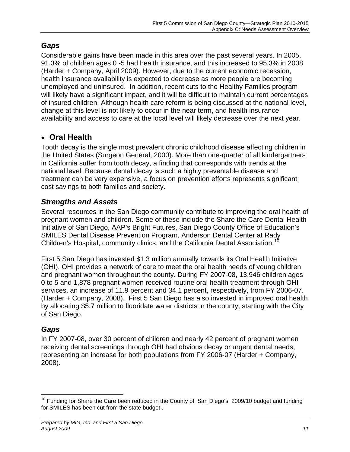### *Gaps*

Considerable gains have been made in this area over the past several years. In 2005, 91.3% of children ages 0 -5 had health insurance, and this increased to 95.3% in 2008 (Harder + Company, April 2009). However, due to the current economic recession, health insurance availability is expected to decrease as more people are becoming unemployed and uninsured. In addition, recent cuts to the Healthy Families program will likely have a significant impact, and it will be difficult to maintain current percentages of insured children. Although health care reform is being discussed at the national level, change at this level is not likely to occur in the near term, and health insurance availability and access to care at the local level will likely decrease over the next year.

## **Oral Health**

Tooth decay is the single most prevalent chronic childhood disease affecting children in the United States (Surgeon General, 2000). More than one-quarter of all kindergartners in California suffer from tooth decay, a finding that corresponds with trends at the national level. Because dental decay is such a highly preventable disease and treatment can be very expensive, a focus on prevention efforts represents significant cost savings to both families and society.

#### *Strengths and Assets*

Several resources in the San Diego community contribute to improving the oral health of pregnant women and children. Some of these include the Share the Care Dental Health Initiative of San Diego, AAP's Bright Futures, San Diego County Office of Education's SMILES Dental Disease Prevention Program, Anderson Dental Center at Rady Children's Hospital, community clinics, and the California Dental Association.<sup>[10](#page-10-0)</sup>

First 5 San Diego has invested \$1.3 million annually towards its Oral Health Initiative (OHI). OHI provides a network of care to meet the oral health needs of young children and pregnant women throughout the county. During FY 2007-08, 13,946 children ages 0 to 5 and 1,878 pregnant women received routine oral health treatment through OHI services, an increase of 11.9 percent and 34.1 percent, respectively, from FY 2006-07. (Harder + Company, 2008). First 5 San Diego has also invested in improved oral health by allocating \$5.7 million to fluoridate water districts in the county, starting with the City of San Diego.

#### *Gaps*

In FY 2007-08, over 30 percent of children and nearly 42 percent of pregnant women receiving dental screenings through OHI had obvious decay or urgent dental needs, representing an increase for both populations from FY 2006-07 (Harder + Company, 2008).

<span id="page-10-0"></span> $\overline{a}$  $10$  Funding for Share the Care been reduced in the County of San Diego's 2009/10 budget and funding for SMILES has been cut from the state budget .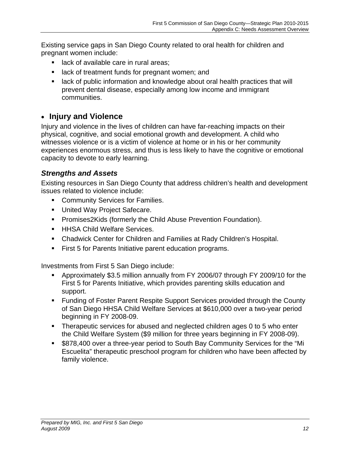Existing service gaps in San Diego County related to oral health for children and pregnant women include:

- **lack of available care in rural areas;**
- **EXTER** lack of treatment funds for pregnant women; and
- **EXT** lack of public information and knowledge about oral health practices that will prevent dental disease, especially among low income and immigrant communities.

## **Injury and Violence**

Injury and violence in the lives of children can have far-reaching impacts on their physical, cognitive, and social emotional growth and development. A child who witnesses violence or is a victim of violence at home or in his or her community experiences enormous stress, and thus is less likely to have the cognitive or emotional capacity to devote to early learning.

### *Strengths and Assets*

Existing resources in San Diego County that address children's health and development issues related to violence include:

- **EXECOMMUNITY Services for Families.**
- **United Way Project Safecare.**
- **Promises2Kids (formerly the Child Abuse Prevention Foundation).**
- **HHSA Child Welfare Services.**
- Chadwick Center for Children and Families at Rady Children's Hospital.
- First 5 for Parents Initiative parent education programs.

Investments from First 5 San Diego include:

- Approximately \$3.5 million annually from FY 2006/07 through FY 2009/10 for the First 5 for Parents Initiative, which provides parenting skills education and support.
- Funding of Foster Parent Respite Support Services provided through the County of San Diego HHSA Child Welfare Services at \$610,000 over a two-year period beginning in FY 2008-09.
- Therapeutic services for abused and neglected children ages 0 to 5 who enter the Child Welfare System (\$9 million for three years beginning in FY 2008-09).
- \$878,400 over a three-year period to South Bay Community Services for the "Mi Escuelita" therapeutic preschool program for children who have been affected by family violence.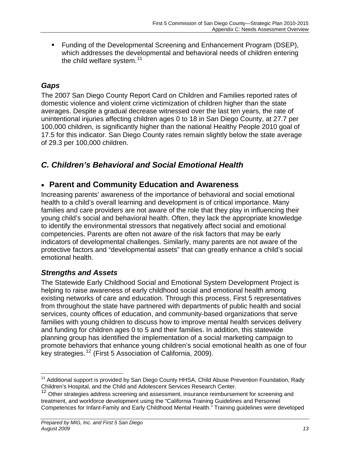Funding of the Developmental Screening and Enhancement Program (DSEP), which addresses the developmental and behavioral needs of children entering the child welfare system. $11$ 

### *Gaps*

The 2007 San Diego County Report Card on Children and Families reported rates of domestic violence and violent crime victimization of children higher than the state averages. Despite a gradual decrease witnessed over the last ten years, the rate of unintentional injuries affecting children ages 0 to 18 in San Diego County, at 27.7 per 100,000 children, is significantly higher than the national Healthy People 2010 goal of 17.5 for this indicator. San Diego County rates remain slightly below the state average of 29.3 per 100,000 children.

## *C. Children's Behavioral and Social Emotional Health*

## **Parent and Community Education and Awareness**

Increasing parents' awareness of the importance of behavioral and social emotional health to a child's overall learning and development is of critical importance. Many families and care providers are not aware of the role that they play in influencing their young child's social and behavioral health. Often, they lack the appropriate knowledge to identify the environmental stressors that negatively affect social and emotional competencies. Parents are often not aware of the risk factors that may be early indicators of developmental challenges. Similarly, many parents are not aware of the protective factors and "developmental assets" that can greatly enhance a child's social emotional health.

#### *Strengths and Assets*

The Statewide Early Childhood Social and Emotional System Development Project is helping to raise awareness of early childhood social and emotional health among existing networks of care and education. Through this process, First 5 representatives from throughout the state have partnered with departments of public health and social services, county offices of education, and community-based organizations that serve families with young children to discuss how to improve mental health services delivery and funding for children ages 0 to 5 and their families. In addition, this statewide planning group has identified the implementation of a social marketing campaign to promote behaviors that enhance young children's social emotional health as one of four key strategies.12 [\(First 5 Association of California, 2009\).](#page-12-1) 

<span id="page-12-0"></span> $\overline{a}$ <sup>11</sup> Additional support is provided by San Diego County HHSA, Child Abuse Prevention Foundation, Rady Children's Hospital, and the Child and Adolescent Services Research Center.

<span id="page-12-1"></span><sup>&</sup>lt;sup>12</sup> Other strategies address screening and assessment, insurance reimbursement for screening and treatment, and workforce development using the "California Training Guidelines and Personnel Competences for Infant-Family and Early Childhood Mental Health." Training guidelines were developed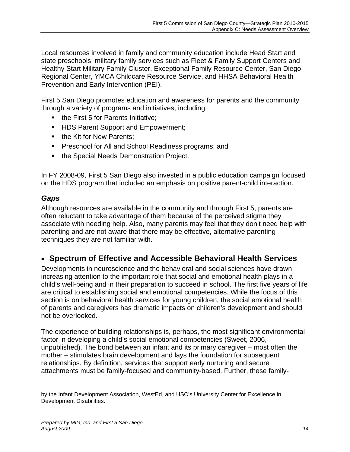Local resources involved in family and community education include Head Start and state preschools, military family services such as Fleet & Family Support Centers and Healthy Start Military Family Cluster, Exceptional Family Resource Center, San Diego Regional Center, YMCA Childcare Resource Service, and HHSA Behavioral Health Prevention and Early Intervention (PEI).

First 5 San Diego promotes education and awareness for parents and the community through a variety of programs and initiatives, including:

- the First 5 for Parents Initiative;
- **HDS Parent Support and Empowerment;**
- the Kit for New Parents;
- **Preschool for All and School Readiness programs; and**
- **the Special Needs Demonstration Project.**

In FY 2008-09, First 5 San Diego also invested in a public education campaign focused on the HDS program that included an emphasis on positive parent-child interaction.

#### *Gaps*

Although resources are available in the community and through First 5, parents are often reluctant to take advantage of them because of the perceived stigma they associate with needing help. Also, many parents may feel that they don't need help with parenting and are not aware that there may be effective, alternative parenting techniques they are not familiar with.

## **Spectrum of Effective and Accessible Behavioral Health Services**

Developments in neuroscience and the behavioral and social sciences have drawn increasing attention to the important role that social and emotional health plays in a child's well-being and in their preparation to succeed in school. The first five years of life are critical to establishing social and emotional competencies. While the focus of this section is on behavioral health services for young children, the social emotional health of parents and caregivers has dramatic impacts on children's development and should not be overlooked.

The experience of building relationships is, perhaps, the most significant environmental factor in developing a child's social emotional competencies (Sweet, 2006, unpublished). The bond between an infant and its primary caregiver – most often the mother – stimulates brain development and lays the foundation for subsequent relationships. By definition, services that support early nurturing and secure attachments must be family-focused and community-based. Further, these family-

 $\overline{a}$ by the Infant Development Association, WestEd, and USC's University Center for Excellence in Development Disabilities.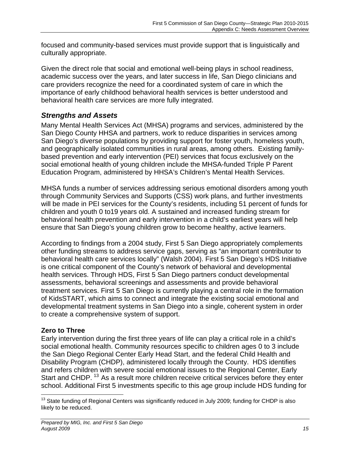focused and community-based services must provide support that is linguistically and culturally appropriate.

Given the direct role that social and emotional well-being plays in school readiness, academic success over the years, and later success in life, San Diego clinicians and care providers recognize the need for a coordinated system of care in which the importance of early childhood behavioral health services is better understood and behavioral health care services are more fully integrated.

## *Strengths and Assets*

Many Mental Health Services Act (MHSA) programs and services, administered by the San Diego County HHSA and partners, work to reduce disparities in services among San Diego's diverse populations by providing support for foster youth, homeless youth, and geographically isolated communities in rural areas, among others. Existing familybased prevention and early intervention (PEI) services that focus exclusively on the social emotional health of young children include the MHSA-funded Triple P Parent Education Program, administered by HHSA's Children's Mental Health Services.

MHSA funds a number of services addressing serious emotional disorders among youth through Community Services and Supports (CSS) work plans, and further investments will be made in PEI services for the County's residents, including 51 percent of funds for children and youth 0 to19 years old. A sustained and increased funding stream for behavioral health prevention and early intervention in a child's earliest years will help ensure that San Diego's young children grow to become healthy, active learners.

According to findings from a 2004 study, First 5 San Diego appropriately complements other funding streams to address service gaps, serving as "an important contributor to behavioral health care services locally" (Walsh 2004). First 5 San Diego's HDS Initiative is one critical component of the County's network of behavioral and developmental health services. Through HDS, First 5 San Diego partners conduct developmental assessments, behavioral screenings and assessments and provide behavioral treatment services. First 5 San Diego is currently playing a central role in the formation of KidsSTART, which aims to connect and integrate the existing social emotional and developmental treatment systems in San Diego into a single, coherent system in order to create a comprehensive system of support.

#### **Zero to Three**

Early intervention during the first three years of life can play a critical role in a child's social emotional health. Community resources specific to children ages 0 to 3 include the San Diego Regional Center Early Head Start, and the federal Child Health and Disability Program (CHDP), administered locally through the County. HDS identifies and refers children with severe social emotional issues to the Regional Center, Early Start and CHDP.<sup>[13](#page-14-0)</sup> As a result more children receive critical services before they enter school. Additional First 5 investments specific to this age group include HDS funding for

<span id="page-14-0"></span> $\overline{a}$  $^{13}$  State funding of Regional Centers was significantly reduced in July 2009; funding for CHDP is also likely to be reduced.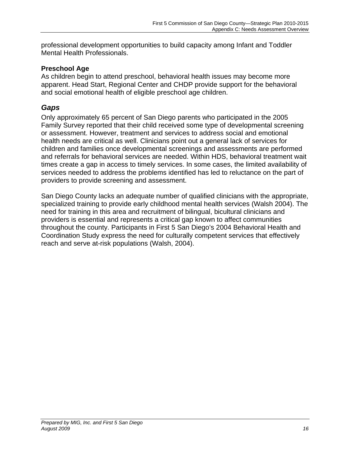professional development opportunities to build capacity among Infant and Toddler Mental Health Professionals.

#### **Preschool Age**

As children begin to attend preschool, behavioral health issues may become more apparent. Head Start, Regional Center and CHDP provide support for the behavioral and social emotional health of eligible preschool age children.

#### *Gaps*

Only approximately 65 percent of San Diego parents who participated in the 2005 Family Survey reported that their child received some type of developmental screening or assessment. However, treatment and services to address social and emotional health needs are critical as well. Clinicians point out a general lack of services for children and families once developmental screenings and assessments are performed and referrals for behavioral services are needed. Within HDS, behavioral treatment wait times create a gap in access to timely services. In some cases, the limited availability of services needed to address the problems identified has led to reluctance on the part of providers to provide screening and assessment.

San Diego County lacks an adequate number of qualified clinicians with the appropriate, specialized training to provide early childhood mental health services (Walsh 2004). The need for training in this area and recruitment of bilingual, bicultural clinicians and providers is essential and represents a critical gap known to affect communities throughout the county. Participants in First 5 San Diego's 2004 Behavioral Health and Coordination Study express the need for culturally competent services that effectively reach and serve at-risk populations (Walsh, 2004).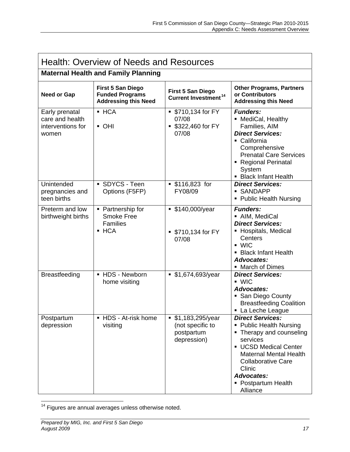| <b>Health: Overview of Needs and Resources</b>                  |                                                                                   |                                                                        |                                                                                                                                                                                                                                                   |
|-----------------------------------------------------------------|-----------------------------------------------------------------------------------|------------------------------------------------------------------------|---------------------------------------------------------------------------------------------------------------------------------------------------------------------------------------------------------------------------------------------------|
| <b>Maternal Health and Family Planning</b>                      |                                                                                   |                                                                        |                                                                                                                                                                                                                                                   |
| <b>Need or Gap</b>                                              | <b>First 5 San Diego</b><br><b>Funded Programs</b><br><b>Addressing this Need</b> | <b>First 5 San Diego</b><br>Current Investment <sup>14</sup>           | <b>Other Programs, Partners</b><br>or Contributors<br><b>Addressing this Need</b>                                                                                                                                                                 |
| Early prenatal<br>care and health<br>interventions for<br>women | $-HCA$<br>• OHI                                                                   | ■ \$710,134 for FY<br>07/08<br>\$322,460 for FY<br>07/08               | <b>Funders:</b><br>• MediCal, Healthy<br>Families, AIM<br><b>Direct Services:</b><br>• California<br>Comprehensive<br><b>Prenatal Care Services</b><br>• Regional Perinatal<br>System<br><b>Black Infant Health</b>                               |
| Unintended<br>pregnancies and<br>teen births                    | SDYCS - Teen<br>Options (F5FP)                                                    | $$116,823$ for<br>FY08/09                                              | <b>Direct Services:</b><br>• SANDAPP<br>• Public Health Nursing                                                                                                                                                                                   |
| Preterm and low<br>birthweight births                           | • Partnership for<br><b>Smoke Free</b><br><b>Families</b><br>$-HCA$               | ■ \$140,000/year<br>■ \$710,134 for FY<br>07/08                        | <b>Funders:</b><br>• AIM, MediCal<br><b>Direct Services:</b><br>• Hospitals, Medical<br>Centers<br>$\blacksquare$ WIC<br>• Black Infant Health<br><b>Advocates:</b><br>• March of Dimes                                                           |
| <b>Breastfeeding</b>                                            | - HDS - Newborn<br>home visiting                                                  | ■ \$1,674,693/year                                                     | <b>Direct Services:</b><br>WIC<br><b>Advocates:</b><br>San Diego County<br><b>Breastfeeding Coalition</b><br>La Leche League                                                                                                                      |
| Postpartum<br>depression                                        | ■ HDS - At-risk home<br>visiting                                                  | \$1,183,295/year<br>٠<br>(not specific to<br>postpartum<br>depression) | <b>Direct Services:</b><br>• Public Health Nursing<br>• Therapy and counseling<br>services<br>UCSD Medical Center<br><b>Maternal Mental Health</b><br><b>Collaborative Care</b><br>Clinic<br><b>Advocates:</b><br>• Postpartum Health<br>Alliance |

 $\overline{a}$  $14$  Figures are annual averages unless otherwise noted.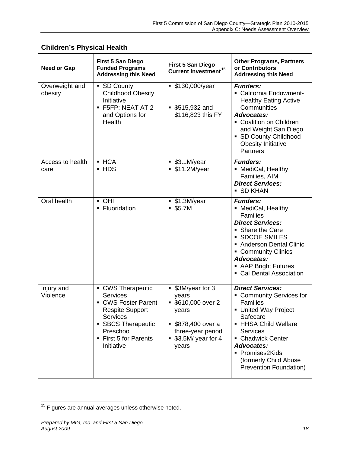| <b>Children's Physical Health</b> |                                                                                                                                                                                    |                                                                                                                                   |                                                                                                                                                                                                                                                                              |
|-----------------------------------|------------------------------------------------------------------------------------------------------------------------------------------------------------------------------------|-----------------------------------------------------------------------------------------------------------------------------------|------------------------------------------------------------------------------------------------------------------------------------------------------------------------------------------------------------------------------------------------------------------------------|
| <b>Need or Gap</b>                | <b>First 5 San Diego</b><br><b>Funded Programs</b><br><b>Addressing this Need</b>                                                                                                  | <b>First 5 San Diego</b><br>Current Investment <sup>15</sup>                                                                      | <b>Other Programs, Partners</b><br>or Contributors<br><b>Addressing this Need</b>                                                                                                                                                                                            |
| Overweight and<br>obesity         | • SD County<br><b>Childhood Obesity</b><br>Initiative<br>• F5FP: NEAT AT 2<br>and Options for<br><b>Health</b>                                                                     | ■ \$130,000/year<br>$$515,932$ and<br>\$116,823 this FY                                                                           | <b>Funders:</b><br>• California Endowment-<br><b>Healthy Eating Active</b><br>Communities<br><b>Advocates:</b><br>• Coalition on Children<br>and Weight San Diego<br>• SD County Childhood<br><b>Obesity Initiative</b><br><b>Partners</b>                                   |
| Access to health<br>care          | • HCA<br>• HDS                                                                                                                                                                     | \$3.1M/year<br>\$11.2M/year                                                                                                       | <b>Funders:</b><br>• MediCal, Healthy<br>Families, AIM<br><b>Direct Services:</b><br><b>SD KHAN</b>                                                                                                                                                                          |
| Oral health                       | • OHI<br>• Fluoridation                                                                                                                                                            | \$1.3M/year<br>\$5.7M                                                                                                             | <b>Funders:</b><br>• MediCal, Healthy<br><b>Families</b><br><b>Direct Services:</b><br>• Share the Care<br><b>SDCOE SMILES</b><br>Anderson Dental Clinic<br>• Community Clinics<br>Advocates:<br>• AAP Bright Futures<br>• Cal Dental Association                            |
| Injury and<br>Violence            | • CWS Therapeutic<br><b>Services</b><br>• CWS Foster Parent<br><b>Respite Support</b><br><b>Services</b><br>• SBCS Therapeutic<br>Preschool<br>■ First 5 for Parents<br>Initiative | ■ \$3M/year for 3<br>vears<br>■ \$610,000 over 2<br>years<br>\$878,400 over a<br>three-year period<br>$$3.5M/year$ for 4<br>years | <b>Direct Services:</b><br>• Community Services for<br><b>Families</b><br>■ United Way Project<br>Safecare<br>• HHSA Child Welfare<br><b>Services</b><br>• Chadwick Center<br><b>Advocates:</b><br>• Promises2Kids<br>(formerly Child Abuse<br><b>Prevention Foundation)</b> |

 $\overline{a}$  $15$  Figures are annual averages unless otherwise noted.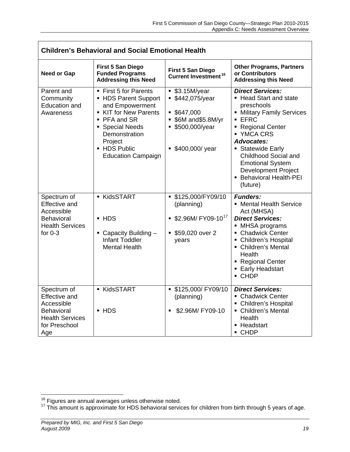| <b>Children's Behavioral and Social Emotional Health</b>                                                                 |                                                                                                                                                                                                     |                                                                                                               |                                                                                                                                                                                                                                                                                                              |
|--------------------------------------------------------------------------------------------------------------------------|-----------------------------------------------------------------------------------------------------------------------------------------------------------------------------------------------------|---------------------------------------------------------------------------------------------------------------|--------------------------------------------------------------------------------------------------------------------------------------------------------------------------------------------------------------------------------------------------------------------------------------------------------------|
| <b>Need or Gap</b>                                                                                                       | <b>First 5 San Diego</b><br><b>Funded Programs</b><br><b>Addressing this Need</b>                                                                                                                   | <b>First 5 San Diego</b><br>Current Investment <sup>16</sup>                                                  | <b>Other Programs, Partners</b><br>or Contributors<br><b>Addressing this Need</b>                                                                                                                                                                                                                            |
| Parent and<br>Community<br><b>Education and</b><br>Awareness                                                             | ■ First 5 for Parents<br>- HDS Parent Support<br>and Empowerment<br>KIT for New Parents<br>• PFA and SR<br>• Special Needs<br>Demonstration<br>Project<br>- HDS Public<br><b>Education Campaign</b> | \$3.15M/year<br>■ \$442,075/year<br>\$647,000<br>■ \$6M and\$5.8M/yr<br>■ \$500,000/year<br>• \$400,000/ year | <b>Direct Services:</b><br>• Head Start and state<br>preschools<br>• Military Family Services<br>EFC<br>Regional Center<br>■ YMCA CRS<br><b>Advocates:</b><br>• Statewide Early<br>Childhood Social and<br><b>Emotional System</b><br><b>Development Project</b><br><b>Behavioral Health-PEI</b><br>(future) |
| Spectrum of<br><b>Effective and</b><br>Accessible<br><b>Behavioral</b><br><b>Health Services</b><br>for $0-3$            | <b>KidsSTART</b><br>• HDS<br>$\blacksquare$ Capacity Building $\blacksquare$<br><b>Infant Toddler</b><br><b>Mental Health</b>                                                                       | ■ \$125,000/FY09/10<br>(planning)<br>$$2.96M/$ FY09-10 <sup>17</sup><br>\$59,020 over 2<br>years              | <b>Funders:</b><br>• Mental Health Service<br>Act (MHSA)<br><b>Direct Services:</b><br>• MHSA programs<br>• Chadwick Center<br>• Children's Hospital<br>• Children's Mental<br>Health<br>• Regional Center<br><b>Early Headstart</b><br>$\blacksquare$ CHDP                                                  |
| Spectrum of<br><b>Effective and</b><br>Accessible<br><b>Behavioral</b><br><b>Health Services</b><br>for Preschool<br>Age | <b>KidsSTART</b><br>• HDS                                                                                                                                                                           | ■ \$125,000/ FY09/10<br>(planning)<br>\$2.96M/ FY09-10<br>٠                                                   | <b>Direct Services:</b><br>• Chadwick Center<br>• Children's Hospital<br>• Children's Mental<br>Health<br>• Headstart<br>• CHDP                                                                                                                                                                              |

 $\overline{a}$ 

<span id="page-18-0"></span>

<sup>&</sup>lt;sup>16</sup> Figures are annual averages unless otherwise noted.<br><sup>17</sup> This amount is approximate for HDS behavioral services for children from birth through 5 years of age.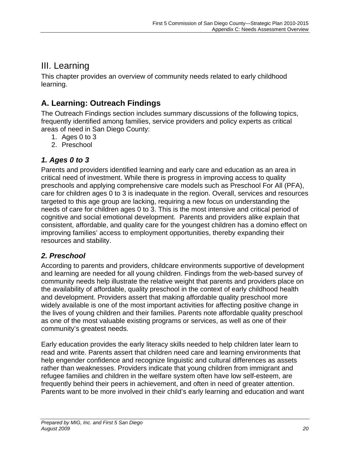# III. Learning

This chapter provides an overview of community needs related to early childhood learning.

# **A. Learning: Outreach Findings**

The Outreach Findings section includes summary discussions of the following topics, frequently identified among families, service providers and policy experts as critical areas of need in San Diego County:

- 1. Ages 0 to 3
- 2. Preschool

### *1. Ages 0 to 3*

Parents and providers identified learning and early care and education as an area in critical need of investment. While there is progress in improving access to quality preschools and applying comprehensive care models such as Preschool For All (PFA), care for children ages 0 to 3 is inadequate in the region. Overall, services and resources targeted to this age group are lacking, requiring a new focus on understanding the needs of care for children ages 0 to 3. This is the most intensive and critical period of cognitive and social emotional development. Parents and providers alike explain that consistent, affordable, and quality care for the youngest children has a domino effect on improving families' access to employment opportunities, thereby expanding their resources and stability.

#### *2. Preschool*

According to parents and providers, childcare environments supportive of development and learning are needed for all young children. Findings from the web-based survey of community needs help illustrate the relative weight that parents and providers place on the availability of affordable, quality preschool in the context of early childhood health and development. Providers assert that making affordable quality preschool more widely available is one of the most important activities for affecting positive change in the lives of young children and their families. Parents note affordable quality preschool as one of the most valuable existing programs or services, as well as one of their community's greatest needs.

Early education provides the early literacy skills needed to help children later learn to read and write. Parents assert that children need care and learning environments that help engender confidence and recognize linguistic and cultural differences as assets rather than weaknesses. Providers indicate that young children from immigrant and refugee families and children in the welfare system often have low self-esteem, are frequently behind their peers in achievement, and often in need of greater attention. Parents want to be more involved in their child's early learning and education and want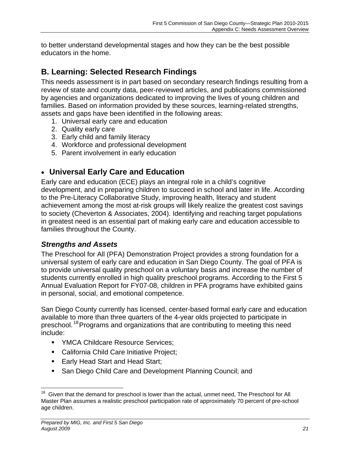to better understand developmental stages and how they can be the best possible educators in the home.

## **B. Learning: Selected Research Findings**

This needs assessment is in part based on secondary research findings resulting from a review of state and county data, peer-reviewed articles, and publications commissioned by agencies and organizations dedicated to improving the lives of young children and families. Based on information provided by these sources, learning-related strengths, assets and gaps have been identified in the following areas:

- 1. Universal early care and education
- 2. Quality early care
- 3. Early child and family literacy
- 4. Workforce and professional development
- 5. Parent involvement in early education

## **Universal Early Care and Education**

Early care and education (ECE) plays an integral role in a child's cognitive development, and in preparing children to succeed in school and later in life. According to the Pre-Literacy Collaborative Study, improving health, literacy and student achievement among the most at-risk groups will likely realize the greatest cost savings to society (Cheverton & Associates, 2004). Identifying and reaching target populations in greatest need is an essential part of making early care and education accessible to families throughout the County.

#### *Strengths and Assets*

The Preschool for All (PFA) Demonstration Project provides a strong foundation for a universal system of early care and education in San Diego County. The goal of PFA is to provide universal quality preschool on a voluntary basis and increase the number of students currently enrolled in high quality preschool programs. According to the First 5 Annual Evaluation Report for FY07-08, children in PFA programs have exhibited gains in personal, social, and emotional competence.

San Diego County currently has licensed, center-based formal early care and education available to more than three quarters of the 4-year olds projected to participate in preschool.<sup>18</sup> Programs and organizations that are contributing to meeting this need [include:](#page-20-0) 

- **NOCA Childcare Resource Services;**
- **EXEC** California Child Care Initiative Project;
- **Early Head Start and Head Start;**
- **San Diego Child Care and Development Planning Council; and**

<span id="page-20-0"></span> $\overline{a}$ <sup>18</sup> Given that the demand for preschool is lower than the actual, unmet need, The Preschool for All Master Plan assumes a realistic preschool participation rate of approximately 70 percent of pre-school age children.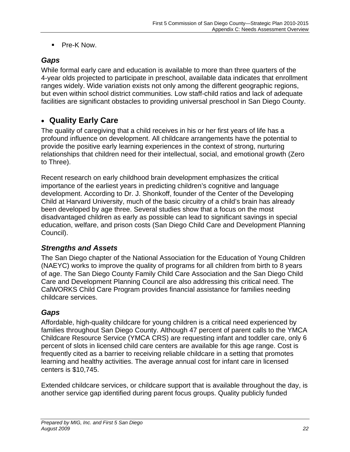■ Pre-K Now.

#### *Gaps*

While formal early care and education is available to more than three quarters of the 4-year olds projected to participate in preschool, available data indicates that enrollment ranges widely. Wide variation exists not only among the different geographic regions, but even within school district communities. Low staff-child ratios and lack of adequate facilities are significant obstacles to providing universal preschool in San Diego County.

## **Quality Early Care**

The quality of caregiving that a child receives in his or her first years of life has a profound influence on development. All childcare arrangements have the potential to provide the positive early learning experiences in the context of strong, nurturing relationships that children need for their intellectual, social, and emotional growth (Zero to Three).

Recent research on early childhood brain development emphasizes the critical importance of the earliest years in predicting children's cognitive and language development. According to Dr. J. Shonkoff, founder of the Center of the Developing Child at Harvard University, much of the basic circuitry of a child's brain has already been developed by age three. Several studies show that a focus on the most disadvantaged children as early as possible can lead to significant savings in special education, welfare, and prison costs (San Diego Child Care and Development Planning Council).

#### *Strengths and Assets*

The San Diego chapter of the National Association for the Education of Young Children (NAEYC) works to improve the quality of programs for all children from birth to 8 years of age. The San Diego County Family Child Care Association and the San Diego Child Care and Development Planning Council are also addressing this critical need. The CalWORKS Child Care Program provides financial assistance for families needing childcare services.

#### *Gaps*

Affordable, high-quality childcare for young children is a critical need experienced by families throughout San Diego County. Although 47 percent of parent calls to the YMCA Childcare Resource Service (YMCA CRS) are requesting infant and toddler care, only 6 percent of slots in licensed child care centers are available for this age range. Cost is frequently cited as a barrier to receiving reliable childcare in a setting that promotes learning and healthy activities. The average annual cost for infant care in licensed centers is \$10,745.

Extended childcare services, or childcare support that is available throughout the day, is another service gap identified during parent focus groups. Quality publicly funded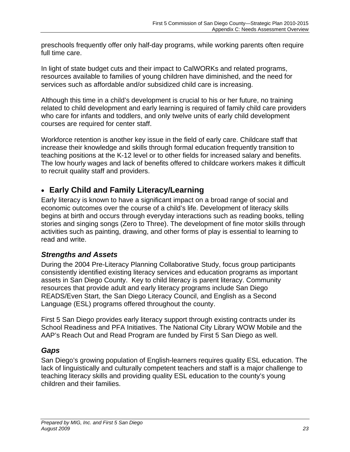preschools frequently offer only half-day programs, while working parents often require full time care.

In light of state budget cuts and their impact to CalWORKs and related programs, resources available to families of young children have diminished, and the need for services such as affordable and/or subsidized child care is increasing.

Although this time in a child's development is crucial to his or her future, no training related to child development and early learning is required of family child care providers who care for infants and toddlers, and only twelve units of early child development courses are required for center staff.

Workforce retention is another key issue in the field of early care. Childcare staff that increase their knowledge and skills through formal education frequently transition to teaching positions at the K-12 level or to other fields for increased salary and benefits. The low hourly wages and lack of benefits offered to childcare workers makes it difficult to recruit quality staff and providers.

## **Early Child and Family Literacy/Learning**

Early literacy is known to have a significant impact on a broad range of social and economic outcomes over the course of a child's life. Development of literacy skills begins at birth and occurs through everyday interactions such as reading books, telling stories and singing songs (Zero to Three). The development of fine motor skills through activities such as painting, drawing, and other forms of play is essential to learning to read and write.

#### *Strengths and Assets*

During the 2004 Pre-Literacy Planning Collaborative Study, focus group participants consistently identified existing literacy services and education programs as important assets in San Diego County. Key to child literacy is parent literacy. Community resources that provide adult and early literacy programs include San Diego READS/Even Start, the San Diego Literacy Council, and English as a Second Language (ESL) programs offered throughout the county.

First 5 San Diego provides early literacy support through existing contracts under its School Readiness and PFA Initiatives. The National City Library WOW Mobile and the AAP's Reach Out and Read Program are funded by First 5 San Diego as well.

#### *Gaps*

San Diego's growing population of English-learners requires quality ESL education. The lack of linguistically and culturally competent teachers and staff is a major challenge to teaching literacy skills and providing quality ESL education to the county's young children and their families.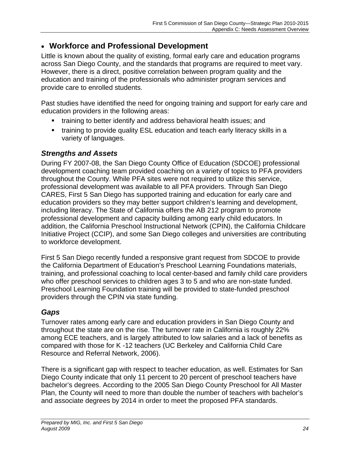#### **Workforce and Professional Development**

Little is known about the quality of existing, formal early care and education programs across San Diego County, and the standards that programs are required to meet vary. However, there is a direct, positive correlation between program quality and the education and training of the professionals who administer program services and provide care to enrolled students.

Past studies have identified the need for ongoing training and support for early care and education providers in the following areas:

- training to better identify and address behavioral health issues; and
- training to provide quality ESL education and teach early literacy skills in a variety of languages.

#### *Strengths and Assets*

During FY 2007-08, the San Diego County Office of Education (SDCOE) professional development coaching team provided coaching on a variety of topics to PFA providers throughout the County. While PFA sites were not required to utilize this service, professional development was available to all PFA providers. Through San Diego CARES, First 5 San Diego has supported training and education for early care and education providers so they may better support children's learning and development, including literacy. The State of California offers the AB 212 program to promote professional development and capacity building among early child educators. In addition, the California Preschool Instructional Network (CPIN), the California Childcare Initiative Project (CCIP), and some San Diego colleges and universities are contributing to workforce development.

First 5 San Diego recently funded a responsive grant request from SDCOE to provide the California Department of Education's Preschool Learning Foundations materials, training, and professional coaching to local center-based and family child care providers who offer preschool services to children ages 3 to 5 and who are non-state funded. Preschool Learning Foundation training will be provided to state-funded preschool providers through the CPIN via state funding.

#### *Gaps*

Turnover rates among early care and education providers in San Diego County and throughout the state are on the rise. The turnover rate in California is roughly 22% among ECE teachers, and is largely attributed to low salaries and a lack of benefits as compared with those for K -12 teachers (UC Berkeley and California Child Care Resource and Referral Network, 2006).

There is a significant gap with respect to teacher education, as well. Estimates for San Diego County indicate that only 11 percent to 20 percent of preschool teachers have bachelor's degrees. According to the 2005 San Diego County Preschool for All Master Plan, the County will need to more than double the number of teachers with bachelor's and associate degrees by 2014 in order to meet the proposed PFA standards.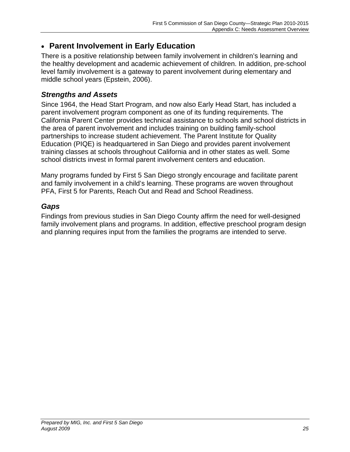## **Parent Involvement in Early Education**

There is a positive relationship between family involvement in children's learning and the healthy development and academic achievement of children. In addition, pre-school level family involvement is a gateway to parent involvement during elementary and middle school years (Epstein, 2006).

#### *Strengths and Assets*

Since 1964, the Head Start Program, and now also Early Head Start, has included a parent involvement program component as one of its funding requirements. The California Parent Center provides technical assistance to schools and school districts in the area of parent involvement and includes training on building family-school partnerships to increase student achievement. The Parent Institute for Quality Education (PIQE) is headquartered in San Diego and provides parent involvement training classes at schools throughout California and in other states as well. Some school districts invest in formal parent involvement centers and education.

Many programs funded by First 5 San Diego strongly encourage and facilitate parent and family involvement in a child's learning. These programs are woven throughout PFA, First 5 for Parents, Reach Out and Read and School Readiness.

### *Gaps*

Findings from previous studies in San Diego County affirm the need for well-designed family involvement plans and programs. In addition, effective preschool program design and planning requires input from the families the programs are intended to serve.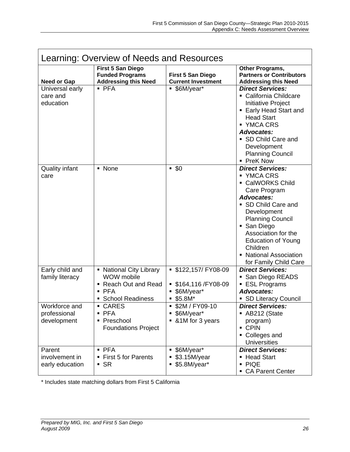| Learning: Overview of Needs and Resources    |                                                                                               |                                                                           |                                                                                                                                                                                                                                                                                                   |
|----------------------------------------------|-----------------------------------------------------------------------------------------------|---------------------------------------------------------------------------|---------------------------------------------------------------------------------------------------------------------------------------------------------------------------------------------------------------------------------------------------------------------------------------------------|
| <b>Need or Gap</b>                           | <b>First 5 San Diego</b><br><b>Funded Programs</b><br><b>Addressing this Need</b>             | <b>First 5 San Diego</b><br><b>Current Investment</b>                     | Other Programs,<br><b>Partners or Contributors</b><br><b>Addressing this Need</b>                                                                                                                                                                                                                 |
| Universal early<br>care and<br>education     | $-$ PFA                                                                                       | ■ \$6M/year*                                                              | <b>Direct Services:</b><br>• California Childcare<br>Initiative Project<br>• Early Head Start and<br><b>Head Start</b><br>■ YMCA CRS<br>Advocates:<br>• SD Child Care and<br>Development<br><b>Planning Council</b><br>• PreK Now                                                                 |
| <b>Quality infant</b><br>care                | • None                                                                                        | $-50$                                                                     | <b>Direct Services:</b><br>■ YMCA CRS<br>• CalWORKS Child<br>Care Program<br><b>Advocates:</b><br>• SD Child Care and<br>Development<br><b>Planning Council</b><br>• San Diego<br>Association for the<br><b>Education of Young</b><br>Children<br>• National Association<br>for Family Child Care |
| Early child and<br>family literacy           | • National City Library<br>WOW mobile<br>Reach Out and Read<br>PFA<br><b>School Readiness</b> | ■ \$122,157/ FY08-09<br>■ \$164,116 / FY08-09<br>■ \$6M/year*<br>$$5.8M*$ | <b>Direct Services:</b><br>• San Diego READS<br>■ ESL Programs<br><b>Advocates:</b><br>• SD Literacy Council                                                                                                                                                                                      |
| Workforce and<br>professional<br>development | • CARES<br>$\blacksquare$ PFA<br>Preschool<br><b>Foundations Project</b>                      | \$2M / FY09-10<br>■ \$6M/year*<br>■ &1M for 3 years                       | <b>Direct Services:</b><br>AB212 (State<br>program)<br>• CPIN<br>• Colleges and<br><b>Universities</b>                                                                                                                                                                                            |
| Parent<br>involvement in<br>early education  | $\blacksquare$ PFA<br>■ First 5 for Parents<br>$\overline{\phantom{a}}$ SR                    | ■ \$6M/year*<br>\$3.15M/year<br>$$5.8M/year*$                             | <b>Direct Services:</b><br>• Head Start<br>$\blacksquare$ PIQE<br>• CA Parent Center                                                                                                                                                                                                              |

\* Includes state matching dollars from First 5 California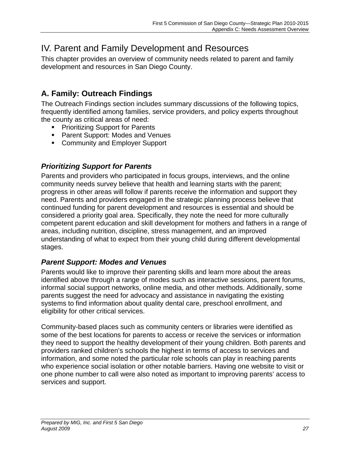# IV. Parent and Family Development and Resources

This chapter provides an overview of community needs related to parent and family development and resources in San Diego County.

# **A. Family: Outreach Findings**

The Outreach Findings section includes summary discussions of the following topics, frequently identified among families, service providers, and policy experts throughout the county as critical areas of need:

- **Prioritizing Support for Parents**
- **Parent Support: Modes and Venues**
- **EXECOMMUNITY AND EMPLOYER Support**

### *Prioritizing Support for Parents*

Parents and providers who participated in focus groups, interviews, and the online community needs survey believe that health and learning starts with the parent; progress in other areas will follow if parents receive the information and support they need. Parents and providers engaged in the strategic planning process believe that continued funding for parent development and resources is essential and should be considered a priority goal area. Specifically, they note the need for more culturally competent parent education and skill development for mothers and fathers in a range of areas, including nutrition, discipline, stress management, and an improved understanding of what to expect from their young child during different developmental stages.

#### *Parent Support: Modes and Venues*

Parents would like to improve their parenting skills and learn more about the areas identified above through a range of modes such as interactive sessions, parent forums, informal social support networks, online media, and other methods. Additionally, some parents suggest the need for advocacy and assistance in navigating the existing systems to find information about quality dental care, preschool enrollment, and eligibility for other critical services.

Community-based places such as community centers or libraries were identified as some of the best locations for parents to access or receive the services or information they need to support the healthy development of their young children. Both parents and providers ranked children's schools the highest in terms of access to services and information, and some noted the particular role schools can play in reaching parents who experience social isolation or other notable barriers. Having one website to visit or one phone number to call were also noted as important to improving parents' access to services and support.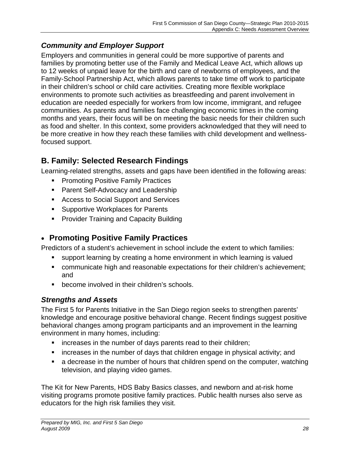## *Community and Employer Support*

Employers and communities in general could be more supportive of parents and families by promoting better use of the Family and Medical Leave Act, which allows up to 12 weeks of unpaid leave for the birth and care of newborns of employees, and the Family-School Partnership Act, which allows parents to take time off work to participate in their children's school or child care activities. Creating more flexible workplace environments to promote such activities as breastfeeding and parent involvement in education are needed especially for workers from low income, immigrant, and refugee communities. As parents and families face challenging economic times in the coming months and years, their focus will be on meeting the basic needs for their children such as food and shelter. In this context, some providers acknowledged that they will need to be more creative in how they reach these families with child development and wellnessfocused support.

# **B. Family: Selected Research Findings**

Learning-related strengths, assets and gaps have been identified in the following areas:

- **Promoting Positive Family Practices**
- **Parent Self-Advocacy and Leadership**
- **Access to Social Support and Services**
- Supportive Workplaces for Parents
- **Provider Training and Capacity Building**

## **Promoting Positive Family Practices**

Predictors of a student's achievement in school include the extent to which families:

- support learning by creating a home environment in which learning is valued
- communicate high and reasonable expectations for their children's achievement; and
- **•** become involved in their children's schools.

## *Strengths and Assets*

The First 5 for Parents Initiative in the San Diego region seeks to strengthen parents' knowledge and encourage positive behavioral change. Recent findings suggest positive behavioral changes among program participants and an improvement in the learning environment in many homes, including:

- **EXTERGHED in the number of days parents read to their children;**
- increases in the number of days that children engage in physical activity; and
- a decrease in the number of hours that children spend on the computer, watching television, and playing video games.

The Kit for New Parents, HDS Baby Basics classes, and newborn and at-risk home visiting programs promote positive family practices. Public health nurses also serve as educators for the high risk families they visit.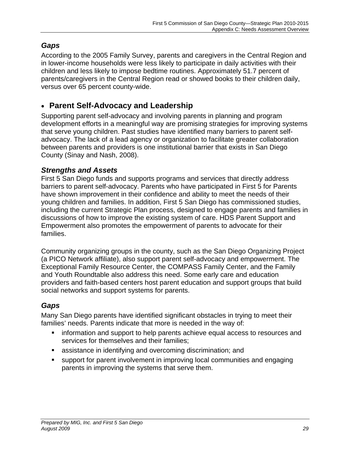## *Gaps*

According to the 2005 Family Survey, parents and caregivers in the Central Region and in lower-income households were less likely to participate in daily activities with their children and less likely to impose bedtime routines. Approximately 51.7 percent of parents/caregivers in the Central Region read or showed books to their children daily, versus over 65 percent county-wide.

## **Parent Self-Advocacy and Leadership**

Supporting parent self-advocacy and involving parents in planning and program development efforts in a meaningful way are promising strategies for improving systems that serve young children. Past studies have identified many barriers to parent selfadvocacy. The lack of a lead agency or organization to facilitate greater collaboration between parents and providers is one institutional barrier that exists in San Diego County (Sinay and Nash, 2008).

#### *Strengths and Assets*

First 5 San Diego funds and supports programs and services that directly address barriers to parent self-advocacy. Parents who have participated in First 5 for Parents have shown improvement in their confidence and ability to meet the needs of their young children and families. In addition, First 5 San Diego has commissioned studies, including the current Strategic Plan process, designed to engage parents and families in discussions of how to improve the existing system of care. HDS Parent Support and Empowerment also promotes the empowerment of parents to advocate for their families.

Community organizing groups in the county, such as the San Diego Organizing Project (a PICO Network affiliate), also support parent self-advocacy and empowerment. The Exceptional Family Resource Center, the COMPASS Family Center, and the Family and Youth Roundtable also address this need. Some early care and education providers and faith-based centers host parent education and support groups that build social networks and support systems for parents.

## *Gaps*

Many San Diego parents have identified significant obstacles in trying to meet their families' needs. Parents indicate that more is needed in the way of:

- **i** information and support to help parents achieve equal access to resources and services for themselves and their families;
- assistance in identifying and overcoming discrimination; and
- support for parent involvement in improving local communities and engaging parents in improving the systems that serve them.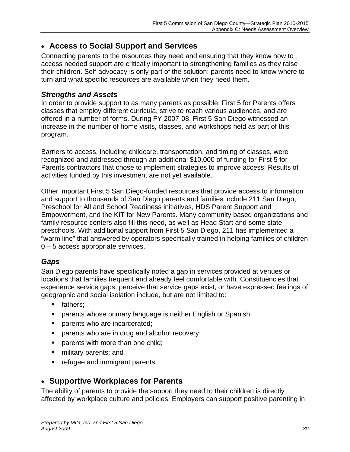### **Access to Social Support and Services**

Connecting parents to the resources they need and ensuring that they know how to access needed support are critically important to strengthening families as they raise their children. Self-advocacy is only part of the solution: parents need to know where to turn and what specific resources are available when they need them.

#### *Strengths and Assets*

In order to provide support to as many parents as possible, First 5 for Parents offers classes that employ different curricula, strive to reach various audiences, and are offered in a number of forms. During FY 2007-08, First 5 San Diego witnessed an increase in the number of home visits, classes, and workshops held as part of this program.

Barriers to access, including childcare, transportation, and timing of classes, were recognized and addressed through an additional \$10,000 of funding for First 5 for Parents contractors that chose to implement strategies to improve access. Results of activities funded by this investment are not yet available.

Other important First 5 San Diego-funded resources that provide access to information and support to thousands of San Diego parents and families include 211 San Diego, Preschool for All and School Readiness initiatives, HDS Parent Support and Empowerment, and the KIT for New Parents. Many community based organizations and family resource centers also fill this need, as well as Head Start and some state preschools. With additional support from First 5 San Diego, 211 has implemented a "warm line" that answered by operators specifically trained in helping families of children 0 – 5 access appropriate services.

#### *Gaps*

San Diego parents have specifically noted a gap in services provided at venues or locations that families frequent and already feel comfortable with. Constituencies that experience service gaps, perceive that service gaps exist, or have expressed feelings of geographic and social isolation include, but are not limited to:

- **fathers:**
- **Parents whose primary language is neither English or Spanish;**
- **parents who are incarcerated;**
- parents who are in drug and alcohol recovery;
- **parents with more than one child;**
- **numilitary parents; and**
- refugee and immigrant parents.

## **Supportive Workplaces for Parents**

The ability of parents to provide the support they need to their children is directly affected by workplace culture and policies. Employers can support positive parenting in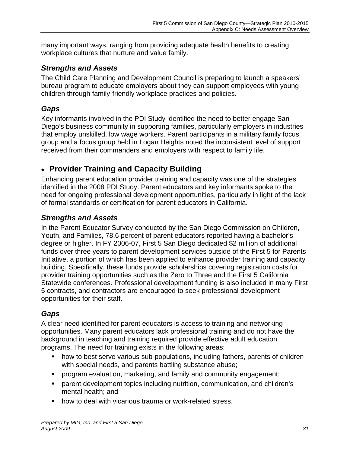many important ways, ranging from providing adequate health benefits to creating workplace cultures that nurture and value family.

#### *Strengths and Assets*

The Child Care Planning and Development Council is preparing to launch a speakers' bureau program to educate employers about they can support employees with young children through family-friendly workplace practices and policies.

### *Gaps*

Key informants involved in the PDI Study identified the need to better engage San Diego's business community in supporting families, particularly employers in industries that employ unskilled, low wage workers. Parent participants in a military family focus group and a focus group held in Logan Heights noted the inconsistent level of support received from their commanders and employers with respect to family life.

## **Provider Training and Capacity Building**

Enhancing parent education provider training and capacity was one of the strategies identified in the 2008 PDI Study. Parent educators and key informants spoke to the need for ongoing professional development opportunities, particularly in light of the lack of formal standards or certification for parent educators in California.

### *Strengths and Assets*

In the Parent Educator Survey conducted by the San Diego Commission on Children, Youth, and Families, 78.6 percent of parent educators reported having a bachelor's degree or higher. In FY 2006-07, First 5 San Diego dedicated \$2 million of additional funds over three years to parent development services outside of the First 5 for Parents Initiative, a portion of which has been applied to enhance provider training and capacity building. Specifically, these funds provide scholarships covering registration costs for provider training opportunities such as the Zero to Three and the First 5 California Statewide conferences. Professional development funding is also included in many First 5 contracts, and contractors are encouraged to seek professional development opportunities for their staff.

## *Gaps*

A clear need identified for parent educators is access to training and networking opportunities. Many parent educators lack professional training and do not have the background in teaching and training required provide effective adult education programs. The need for training exists in the following areas:

- how to best serve various sub-populations, including fathers, parents of children with special needs, and parents battling substance abuse;
- **Perogram evaluation, marketing, and family and community engagement;**
- parent development topics including nutrition, communication, and children's mental health; and
- **how to deal with vicarious trauma or work-related stress.**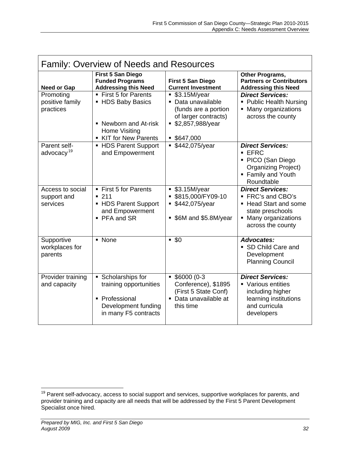| <b>Family: Overview of Needs and Resources</b> |                                                                                                                    |                                                                                                                       |                                                                                                                                           |
|------------------------------------------------|--------------------------------------------------------------------------------------------------------------------|-----------------------------------------------------------------------------------------------------------------------|-------------------------------------------------------------------------------------------------------------------------------------------|
| <b>Need or Gap</b>                             | <b>First 5 San Diego</b><br><b>Funded Programs</b><br><b>Addressing this Need</b>                                  | <b>First 5 San Diego</b><br><b>Current Investment</b>                                                                 | Other Programs,<br><b>Partners or Contributors</b><br><b>Addressing this Need</b>                                                         |
| Promoting<br>positive family<br>practices      | ■ First 5 for Parents<br>• HDS Baby Basics<br>• Newborn and At-risk<br><b>Home Visiting</b><br>KIT for New Parents | \$3.15M/year<br>· Data unavailable<br>(funds are a portion<br>of larger contracts)<br>■ \$2,857,988/year<br>\$647,000 | <b>Direct Services:</b><br>• Public Health Nursing<br>Many organizations<br>across the county                                             |
| Parent self-<br>advocacy <sup>19</sup>         | ■ HDS Parent Support<br>and Empowerment                                                                            | • \$442,075/year                                                                                                      | <b>Direct Services:</b><br>EFC<br>• PICO (San Diego<br><b>Organizing Project)</b><br>• Family and Youth<br>Roundtable                     |
| Access to social<br>support and<br>services    | ■ First 5 for Parents<br>$-211$<br>• HDS Parent Support<br>and Empowerment<br>• PFA and SR                         | \$3.15M/year<br>\$815,000/FY09-10<br>\$442,075/year<br>• \$6M and \$5.8M/year                                         | <b>Direct Services:</b><br>■ FRC's and CBO's<br><b>Head Start and some</b><br>state preschools<br>Many organizations<br>across the county |
| Supportive<br>workplaces for<br>parents        | • None                                                                                                             | $-50$                                                                                                                 | <b>Advocates:</b><br>• SD Child Care and<br>Development<br><b>Planning Council</b>                                                        |
| Provider training<br>and capacity              | • Scholarships for<br>training opportunities<br>• Professional<br>Development funding<br>in many F5 contracts      | $$6000(0-3)$<br>Conference), \$1895<br>(First 5 State Conf)<br>• Data unavailable at<br>this time                     | <b>Direct Services:</b><br>• Various entities<br>including higher<br>learning institutions<br>and curricula<br>developers                 |

 $\overline{a}$ <sup>19</sup> Parent self-advocacy, access to social support and services, supportive workplaces for parents, and provider training and capacity are all needs that will be addressed by the First 5 Parent Development Specialist once hired.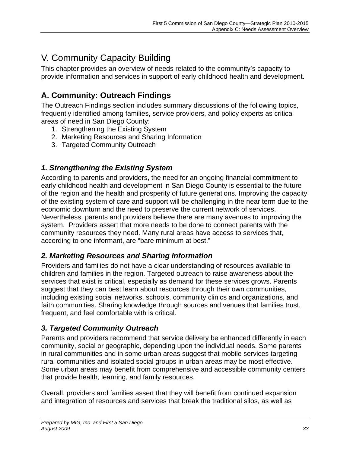# V. Community Capacity Building

This chapter provides an overview of needs related to the community's capacity to provide information and services in support of early childhood health and development.

# **A. Community: Outreach Findings**

The Outreach Findings section includes summary discussions of the following topics, frequently identified among families, service providers, and policy experts as critical areas of need in San Diego County:

- 1. Strengthening the Existing System
- 2. Marketing Resources and Sharing Information
- 3. Targeted Community Outreach

### *1. Strengthening the Existing System*

According to parents and providers, the need for an ongoing financial commitment to early childhood health and development in San Diego County is essential to the future of the region and the health and prosperity of future generations. Improving the capacity of the existing system of care and support will be challenging in the near term due to the economic downturn and the need to preserve the current network of services. Nevertheless, parents and providers believe there are many avenues to improving the system. Providers assert that more needs to be done to connect parents with the community resources they need. Many rural areas have access to services that, according to one informant, are "bare minimum at best."

#### *2. Marketing Resources and Sharing Information*

Providers and families do not have a clear understanding of resources available to children and families in the region. Targeted outreach to raise awareness about the services that exist is critical, especially as demand for these services grows. Parents suggest that they can best learn about resources through their own communities, including existing social networks, schools, community clinics and organizations, and faith communities. Sharing knowledge through sources and venues that families trust, frequent, and feel comfortable with is critical.

#### *3. Targeted Community Outreach*

Parents and providers recommend that service delivery be enhanced differently in each community, social or geographic, depending upon the individual needs. Some parents in rural communities and in some urban areas suggest that mobile services targeting rural communities and isolated social groups in urban areas may be most effective. Some urban areas may benefit from comprehensive and accessible community centers that provide health, learning, and family resources.

Overall, providers and families assert that they will benefit from continued expansion and integration of resources and services that break the traditional silos, as well as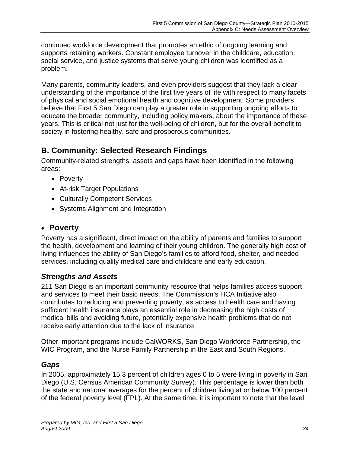continued workforce development that promotes an ethic of ongoing learning and supports retaining workers. Constant employee turnover in the childcare, education, social service, and justice systems that serve young children was identified as a problem.

Many parents, community leaders, and even providers suggest that they lack a clear understanding of the importance of the first five years of life with respect to many facets of physical and social emotional health and cognitive development. Some providers believe that First 5 San Diego can play a greater role in supporting ongoing efforts to educate the broader community, including policy makers, about the importance of these years. This is critical not just for the well-being of children, but for the overall benefit to society in fostering healthy, safe and prosperous communities.

## **B. Community: Selected Research Findings**

Community-related strengths, assets and gaps have been identified in the following areas:

- Poverty
- At-risk Target Populations
- Culturally Competent Services
- Systems Alignment and Integration

# **Poverty**

Poverty has a significant, direct impact on the ability of parents and families to support the health, development and learning of their young children. The generally high cost of living influences the ability of San Diego's families to afford food, shelter, and needed services, including quality medical care and childcare and early education.

## *Strengths and Assets*

211 San Diego is an important community resource that helps families access support and services to meet their basic needs. The Commission's HCA Initiative also contributes to reducing and preventing poverty, as access to health care and having sufficient health insurance plays an essential role in decreasing the high costs of medical bills and avoiding future, potentially expensive health problems that do not receive early attention due to the lack of insurance.

Other important programs include CalWORKS, San Diego Workforce Partnership, the WIC Program, and the Nurse Family Partnership in the East and South Regions.

## *Gaps*

In 2005, approximately 15.3 percent of children ages 0 to 5 were living in poverty in San Diego (U.S. Census American Community Survey). This percentage is lower than both the state and national averages for the percent of children living at or below 100 percent of the federal poverty level (FPL). At the same time, it is important to note that the level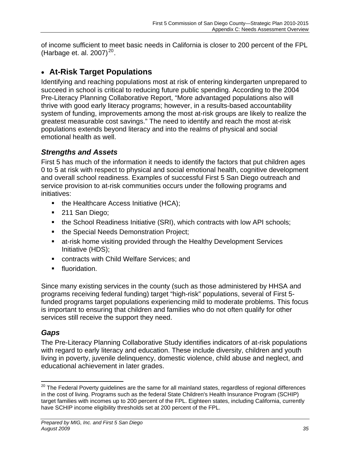of income sufficient to meet basic needs in California is closer to 200 percent of the FPL (Harbage et[.](#page-34-0) al. 2007)<sup>20</sup>.

## **At-Risk Target Populations**

Identifying and reaching populations most at risk of entering kindergarten unprepared to succeed in school is critical to reducing future public spending. According to the 2004 Pre-Literacy Planning Collaborative Report, "More advantaged populations also will thrive with good early literacy programs; however, in a results-based accountability system of funding, improvements among the most at-risk groups are likely to realize the greatest measurable cost savings." The need to identify and reach the most at-risk populations extends beyond literacy and into the realms of physical and social emotional health as well.

### *Strengths and Assets*

First 5 has much of the information it needs to identify the factors that put children ages 0 to 5 at risk with respect to physical and social emotional health, cognitive development and overall school readiness. Examples of successful First 5 San Diego outreach and service provision to at-risk communities occurs under the following programs and initiatives:

- $\blacksquare$  the Healthcare Access Initiative (HCA);
- 211 San Diego;
- the School Readiness Initiative (SRI), which contracts with low API schools;
- **the Special Needs Demonstration Project;**
- at-risk home visiting provided through the Healthy Development Services Initiative (HDS);
- **EXECONTRECTS With Child Welfare Services; and**
- **Filluoridation.**

Since many existing services in the county (such as those administered by HHSA and programs receiving federal funding) target "high-risk" populations, several of First 5 funded programs target populations experiencing mild to moderate problems. This focus is important to ensuring that children and families who do not often qualify for other services still receive the support they need.

## *Gaps*

The Pre-Literacy Planning Collaborative Study identifies indicators of at-risk populations with regard to early literacy and education. These include diversity, children and youth living in poverty, juvenile delinquency, domestic violence, child abuse and neglect, and educational achievement in later grades.

<span id="page-34-0"></span> $\overline{a}$  $^{20}$  The Federal Poverty guidelines are the same for all mainland states, regardless of regional differences in the cost of living. Programs such as the federal State Children's Health Insurance Program (SCHIP) target families with incomes up to 200 percent of the FPL. Eighteen states, including California, currently have SCHIP income eligibility thresholds set at 200 percent of the FPL.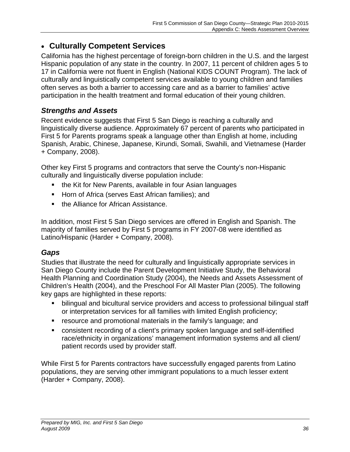## **Culturally Competent Services**

California has the highest percentage of foreign-born children in the U.S. and the largest Hispanic population of any state in the country. In 2007, 11 percent of children ages 5 to 17 in California were not fluent in English (National KIDS COUNT Program). The lack of culturally and linguistically competent services available to young children and families often serves as both a barrier to accessing care and as a barrier to families' active participation in the health treatment and formal education of their young children.

### *Strengths and Assets*

Recent evidence suggests that First 5 San Diego is reaching a culturally and linguistically diverse audience. Approximately 67 percent of parents who participated in First 5 for Parents programs speak a language other than English at home, including Spanish, Arabic, Chinese, Japanese, Kirundi, Somali, Swahili, and Vietnamese (Harder + Company, 2008).

Other key First 5 programs and contractors that serve the County's non-Hispanic culturally and linguistically diverse population include:

- the Kit for New Parents, available in four Asian languages
- **Horn of Africa (serves East African families); and**
- the Alliance for African Assistance.

In addition, most First 5 San Diego services are offered in English and Spanish. The majority of families served by First 5 programs in FY 2007-08 were identified as Latino/Hispanic (Harder + Company, 2008).

#### *Gaps*

Studies that illustrate the need for culturally and linguistically appropriate services in San Diego County include the Parent Development Initiative Study, the Behavioral Health Planning and Coordination Study (2004), the Needs and Assets Assessment of Children's Health (2004), and the Preschool For All Master Plan (2005). The following key gaps are highlighted in these reports:

- bilingual and bicultural service providers and access to professional bilingual staff or interpretation services for all families with limited English proficiency;
- resource and promotional materials in the family's language; and
- consistent recording of a client's primary spoken language and self-identified race/ethnicity in organizations' management information systems and all client/ patient records used by provider staff.

While First 5 for Parents contractors have successfully engaged parents from Latino populations, they are serving other immigrant populations to a much lesser extent (Harder + Company, 2008).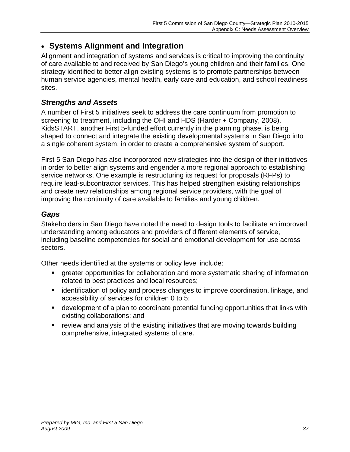## **Systems Alignment and Integration**

Alignment and integration of systems and services is critical to improving the continuity of care available to and received by San Diego's young children and their families. One strategy identified to better align existing systems is to promote partnerships between human service agencies, mental health, early care and education, and school readiness sites.

#### *Strengths and Assets*

A number of First 5 initiatives seek to address the care continuum from promotion to screening to treatment, including the OHI and HDS (Harder + Company, 2008). KidsSTART, another First 5-funded effort currently in the planning phase, is being shaped to connect and integrate the existing developmental systems in San Diego into a single coherent system, in order to create a comprehensive system of support.

First 5 San Diego has also incorporated new strategies into the design of their initiatives in order to better align systems and engender a more regional approach to establishing service networks. One example is restructuring its request for proposals (RFPs) to require lead-subcontractor services. This has helped strengthen existing relationships and create new relationships among regional service providers, with the goal of improving the continuity of care available to families and young children.

#### *Gaps*

Stakeholders in San Diego have noted the need to design tools to facilitate an improved understanding among educators and providers of different elements of service, including baseline competencies for social and emotional development for use across sectors.

Other needs identified at the systems or policy level include:

- greater opportunities for collaboration and more systematic sharing of information related to best practices and local resources;
- **EXT** identification of policy and process changes to improve coordination, linkage, and accessibility of services for children 0 to 5;
- development of a plan to coordinate potential funding opportunities that links with existing collaborations; and
- review and analysis of the existing initiatives that are moving towards building comprehensive, integrated systems of care.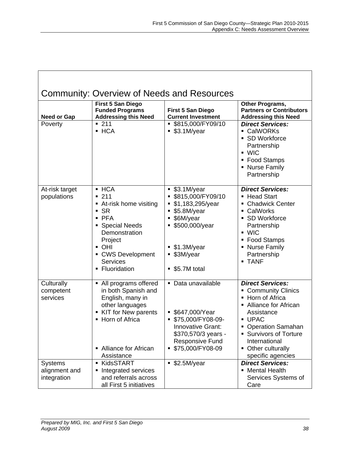| Community: Overview of Needs and Resources     |                                                                                                                                                                                                       |                                                                                                                                                                              |                                                                                                                                                                                                                                                |
|------------------------------------------------|-------------------------------------------------------------------------------------------------------------------------------------------------------------------------------------------------------|------------------------------------------------------------------------------------------------------------------------------------------------------------------------------|------------------------------------------------------------------------------------------------------------------------------------------------------------------------------------------------------------------------------------------------|
| <b>Need or Gap</b>                             | First 5 San Diego<br><b>Funded Programs</b><br><b>Addressing this Need</b>                                                                                                                            | <b>First 5 San Diego</b><br><b>Current Investment</b>                                                                                                                        | Other Programs,<br><b>Partners or Contributors</b><br><b>Addressing this Need</b>                                                                                                                                                              |
| Poverty                                        | $-211$<br>- HCA                                                                                                                                                                                       | \$815,000/FY09/10<br>\$3.1M/year<br>٠                                                                                                                                        | <b>Direct Services:</b><br>CalWORKs<br><b>SD Workforce</b><br>Partnership<br>$\blacksquare$ WIC<br>■ Food Stamps<br>• Nurse Family<br>Partnership                                                                                              |
| At-risk target<br>populations                  | $-HCA$<br>$-211$<br>■ At-risk home visiting<br>$\overline{\phantom{a}}$ SR<br>$-$ PFA<br>• Special Needs<br>Demonstration<br>Project<br>• OHI<br>• CWS Development<br><b>Services</b><br>Fluoridation | \$3.1M/year<br>٠<br>\$815,000/FY09/10<br>٠<br>\$1,183,295/year<br>\$5.8M/year<br>٠<br>\$6M/year<br>п<br>\$500,000/year<br>\$1.3M/year<br>٠<br>\$3M/year<br>\$5.7M total<br>٠ | <b>Direct Services:</b><br><b>Head Start</b><br><b>Chadwick Center</b><br>CalWorks<br>٠<br><b>SD Workforce</b><br>٠<br>Partnership<br>$\blacksquare$ WIC<br><b>Food Stamps</b><br><b>Nurse Family</b><br>Partnership<br><b>- TANF</b>          |
| Culturally<br>competent<br>services            | • All programs offered<br>in both Spanish and<br>English, many in<br>other languages<br>KIT for New parents<br>• Horn of Africa<br>• Alliance for African<br>Assistance                               | Data unavailable<br>$\blacksquare$<br>\$647,000/Year<br>\$75,000/FY08-09-<br>Innovative Grant:<br>\$370,570/3 years -<br><b>Responsive Fund</b><br>\$75,000/FY08-09<br>٠     | <b>Direct Services:</b><br><b>Community Clinics</b><br>• Horn of Africa<br>• Alliance for African<br>Assistance<br>- UPAC<br><b>Operation Samahan</b><br><b>Survivors of Torture</b><br>International<br>Other culturally<br>specific agencies |
| <b>Systems</b><br>alignment and<br>integration | KidsSTART<br>Integrated services<br>٠<br>and referrals across<br>all First 5 initiatives                                                                                                              | \$2.5M/year<br>٠                                                                                                                                                             | <b>Direct Services:</b><br>• Mental Health<br>Services Systems of<br>Care                                                                                                                                                                      |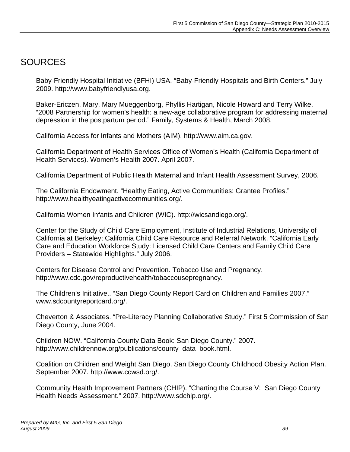# SOURCES

Baby-Friendly Hospital Initiative (BFHI) USA. "Baby-Friendly Hospitals and Birth Centers." July 2009. http://www.babyfriendlyusa.org.

Baker-Ericzen, Mary, Mary Mueggenborg, Phyllis Hartigan, Nicole Howard and Terry Wilke. "2008 Partnership for women's health: a new-age collaborative program for addressing maternal depression in the postpartum period." Family, Systems & Health, March 2008.

California Access for Infants and Mothers (AIM). http://www.aim.ca.gov.

California Department of Health Services Office of Women's Health (California Department of Health Services). Women's Health 2007. April 2007.

California Department of Public Health Maternal and Infant Health Assessment Survey, 2006.

The California Endowment. "Healthy Eating, Active Communities: Grantee Profiles." http://www.healthyeatingactivecommunities.org/.

California Women Infants and Children (WIC). http://wicsandiego.org/.

Center for the Study of Child Care Employment, Institute of Industrial Relations, University of California at Berkeley; California Child Care Resource and Referral Network. "California Early Care and Education Workforce Study: Licensed Child Care Centers and Family Child Care Providers – Statewide Highlights." July 2006.

Centers for Disease Control and Prevention. Tobacco Use and Pregnancy. http://www.cdc.gov/reproductivehealth/tobaccousepregnancy.

The Children's Initiative.. "San Diego County Report Card on Children and Families 2007." www.sdcountyreportcard.org/.

Cheverton & Associates. "Pre-Literacy Planning Collaborative Study." First 5 Commission of San Diego County, June 2004.

Children NOW. "California County Data Book: San Diego County." 2007. http://www.childrennow.org/publications/county\_data\_book.html.

Coalition on Children and Weight San Diego. San Diego County Childhood Obesity Action Plan. September 2007. http://www.ccwsd.org/.

Community Health Improvement Partners (CHIP). "Charting the Course V: San Diego County Health Needs Assessment." 2007. http://www.sdchip.org/.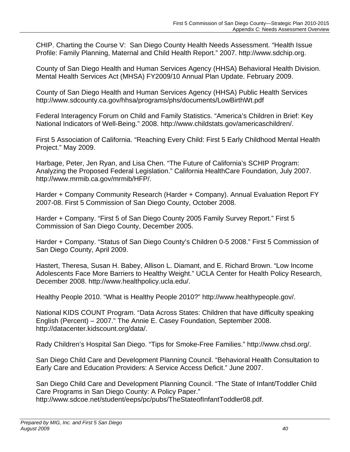CHIP. Charting the Course V: San Diego County Health Needs Assessment. "Health Issue Profile: Family Planning, Maternal and Child Health Report." 2007. http://www.sdchip.org.

County of San Diego Health and Human Services Agency (HHSA) Behavioral Health Division. Mental Health Services Act (MHSA) FY2009/10 Annual Plan Update. February 2009.

County of San Diego Health and Human Services Agency (HHSA) Public Health Services http://www.sdcounty.ca.gov/hhsa/programs/phs/documents/LowBirthWt.pdf

Federal Interagency Forum on Child and Family Statistics. "America's Children in Brief: Key National Indicators of Well-Being." 2008. http://www.childstats.gov/americaschildren/.

First 5 Association of California. "Reaching Every Child: First 5 Early Childhood Mental Health Project." May 2009.

Harbage, Peter, Jen Ryan, and Lisa Chen. "The Future of California's SCHIP Program: Analyzing the Proposed Federal Legislation." California HealthCare Foundation, July 2007. http://www.mrmib.ca.gov/mrmib/HFP/.

Harder + Company Community Research (Harder + Company). Annual Evaluation Report FY 2007-08. First 5 Commission of San Diego County, October 2008.

Harder + Company. "First 5 of San Diego County 2005 Family Survey Report." First 5 Commission of San Diego County, December 2005.

Harder + Company. "Status of San Diego County's Children 0-5 2008." First 5 Commission of San Diego County, April 2009.

Hastert, Theresa, Susan H. Babey, Allison L. Diamant, and E. Richard Brown. "Low Income Adolescents Face More Barriers to Healthy Weight." UCLA Center for Health Policy Research, December 2008. http://www.healthpolicy.ucla.edu/.

Healthy People 2010. "What is Healthy People 2010?" http://www.healthypeople.gov/.

National KIDS COUNT Program. "Data Across States: Children that have difficulty speaking English (Percent) – 2007." The Annie E. Casey Foundation, September 2008. http://datacenter.kidscount.org/data/.

Rady Children's Hospital San Diego. "Tips for Smoke-Free Families." http://www.chsd.org[/.](http://www.chsd.org/) 

San Diego Child Care and Development Planning Council. "Behavioral Health Consultation to Early Care and Education Providers: A Service Access Deficit." June 2007.

San Diego Child Care and Development Planning Council. "The State of Infant/Toddler Child Care Programs in San Diego County: A Policy Paper." http://www.sdcoe.net/student/eeps/pc/pubs/TheStateofInfantToddler08.pdf.